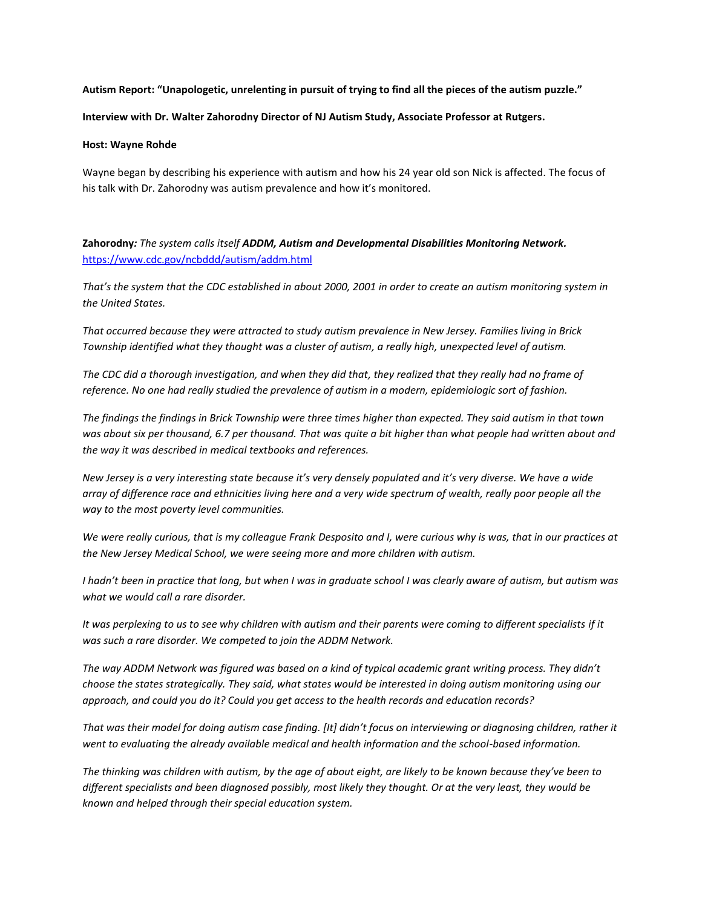### **Autism Report: "Unapologetic, unrelenting in pursuit of trying to find all the pieces of the autism puzzle."**

#### **Interview with Dr. Walter Zahorodny Director of NJ Autism Study, Associate Professor at Rutgers.**

#### **Host: Wayne Rohde**

Wayne began by describing his experience with autism and how his 24 year old son Nick is affected. The focus of his talk with Dr. Zahorodny was autism prevalence and how it's monitored.

**Zahorodny***: The system calls itself ADDM, Autism and Developmental Disabilities Monitoring Network.* <https://www.cdc.gov/ncbddd/autism/addm.html>

*That's the system that the CDC established in about 2000, 2001 in order to create an autism monitoring system in the United States.* 

*That occurred because they were attracted to study autism prevalence in New Jersey. Families living in Brick Township identified what they thought was a cluster of autism, a really high, unexpected level of autism.* 

*The CDC did a thorough investigation, and when they did that, they realized that they really had no frame of reference. No one had really studied the prevalence of autism in a modern, epidemiologic sort of fashion.*

*The findings the findings in Brick Township were three times higher than expected. They said autism in that town was about six per thousand, 6.7 per thousand. That was quite a bit higher than what people had written about and the way it was described in medical textbooks and references.* 

*New Jersey is a very interesting state because it's very densely populated and it's very diverse. We have a wide array of difference race and ethnicities living here and a very wide spectrum of wealth, really poor people all the way to the most poverty level communities.* 

*We were really curious, that is my colleague Frank Desposito and I, were curious why is was, that in our practices at the New Jersey Medical School, we were seeing more and more children with autism.* 

*I hadn't been in practice that long, but when I was in graduate school I was clearly aware of autism, but autism was what we would call a rare disorder.* 

It was perplexing to us to see why children with autism and their parents were coming to different specialists if it *was such a rare disorder. We competed to join the ADDM Network.* 

*The way ADDM Network was figured was based on a kind of typical academic grant writing process. They didn't choose the states strategically. They said, what states would be interested in doing autism monitoring using our approach, and could you do it? Could you get access to the health records and education records?* 

*That was their model for doing autism case finding. [It] didn't focus on interviewing or diagnosing children, rather it went to evaluating the already available medical and health information and the school-based information.* 

*The thinking was children with autism, by the age of about eight, are likely to be known because they've been to different specialists and been diagnosed possibly, most likely they thought. Or at the very least, they would be known and helped through their special education system.*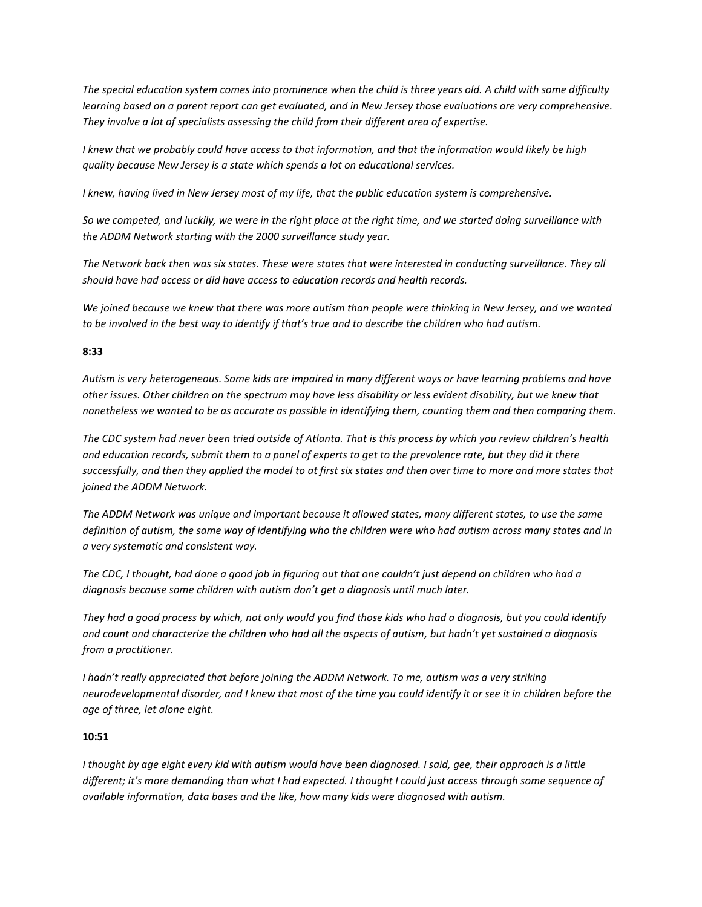*The special education system comes into prominence when the child is three years old. A child with some difficulty learning based on a parent report can get evaluated, and in New Jersey those evaluations are very comprehensive. They involve a lot of specialists assessing the child from their different area of expertise.*

*I knew that we probably could have access to that information, and that the information would likely be high quality because New Jersey is a state which spends a lot on educational services.* 

*I knew, having lived in New Jersey most of my life, that the public education system is comprehensive.* 

*So we competed, and luckily, we were in the right place at the right time, and we started doing surveillance with the ADDM Network starting with the 2000 surveillance study year.* 

*The Network back then was six states. These were states that were interested in conducting surveillance. They all should have had access or did have access to education records and health records.* 

*We joined because we knew that there was more autism than people were thinking in New Jersey, and we wanted to be involved in the best way to identify if that's true and to describe the children who had autism.* 

### **8:33**

*Autism is very heterogeneous. Some kids are impaired in many different ways or have learning problems and have other issues. Other children on the spectrum may have less disability or less evident disability, but we knew that nonetheless we wanted to be as accurate as possible in identifying them, counting them and then comparing them.* 

*The CDC system had never been tried outside of Atlanta. That is this process by which you review children's health and education records, submit them to a panel of experts to get to the prevalence rate, but they did it there successfully, and then they applied the model to at first six states and then over time to more and more states that joined the ADDM Network.* 

*The ADDM Network was unique and important because it allowed states, many different states, to use the same definition of autism, the same way of identifying who the children were who had autism across many states and in a very systematic and consistent way.* 

*The CDC, I thought, had done a good job in figuring out that one couldn't just depend on children who had a diagnosis because some children with autism don't get a diagnosis until much later.*

*They had a good process by which, not only would you find those kids who had a diagnosis, but you could identify and count and characterize the children who had all the aspects of autism, but hadn't yet sustained a diagnosis from a practitioner.*

*I hadn't really appreciated that before joining the ADDM Network. To me, autism was a very striking neurodevelopmental disorder, and I knew that most of the time you could identify it or see it in children before the age of three, let alone eight.* 

## **10:51**

*I thought by age eight every kid with autism would have been diagnosed. I said, gee, their approach is a little different; it's more demanding than what I had expected. I thought I could just access through some sequence of available information, data bases and the like, how many kids were diagnosed with autism.*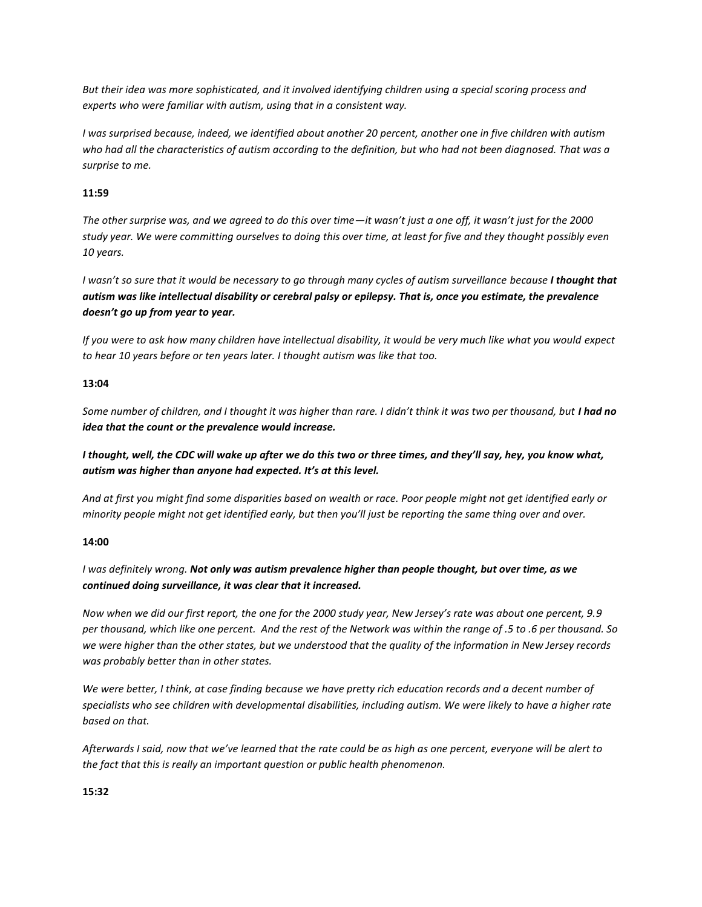*But their idea was more sophisticated, and it involved identifying children using a special scoring process and experts who were familiar with autism, using that in a consistent way.* 

*I was surprised because, indeed, we identified about another 20 percent, another one in five children with autism who had all the characteristics of autism according to the definition, but who had not been diagnosed. That was a surprise to me.* 

## **11:59**

*The other surprise was, and we agreed to do this over time—it wasn't just a one off, it wasn't just for the 2000 study year. We were committing ourselves to doing this over time, at least for five and they thought possibly even 10 years.* 

*I wasn't so sure that it would be necessary to go through many cycles of autism surveillance because I thought that autism was like intellectual disability or cerebral palsy or epilepsy. That is, once you estimate, the prevalence doesn't go up from year to year.* 

*If you were to ask how many children have intellectual disability, it would be very much like what you would expect to hear 10 years before or ten years later. I thought autism was like that too.* 

## **13:04**

*Some number of children, and I thought it was higher than rare. I didn't think it was two per thousand, but I had no idea that the count or the prevalence would increase.*

*I thought, well, the CDC will wake up after we do this two or three times, and they'll say, hey, you know what, autism was higher than anyone had expected. It's at this level.*

*And at first you might find some disparities based on wealth or race. Poor people might not get identified early or minority people might not get identified early, but then you'll just be reporting the same thing over and over.* 

## **14:00**

*I was definitely wrong. Not only was autism prevalence higher than people thought, but over time, as we continued doing surveillance, it was clear that it increased.* 

*Now when we did our first report, the one for the 2000 study year, New Jersey's rate was about one percent, 9.9 per thousand, which like one percent. And the rest of the Network was within the range of .5 to .6 per thousand. So we were higher than the other states, but we understood that the quality of the information in New Jersey records was probably better than in other states.* 

*We were better, I think, at case finding because we have pretty rich education records and a decent number of specialists who see children with developmental disabilities, including autism. We were likely to have a higher rate based on that.* 

*Afterwards I said, now that we've learned that the rate could be as high as one percent, everyone will be alert to the fact that this is really an important question or public health phenomenon.* 

## **15:32**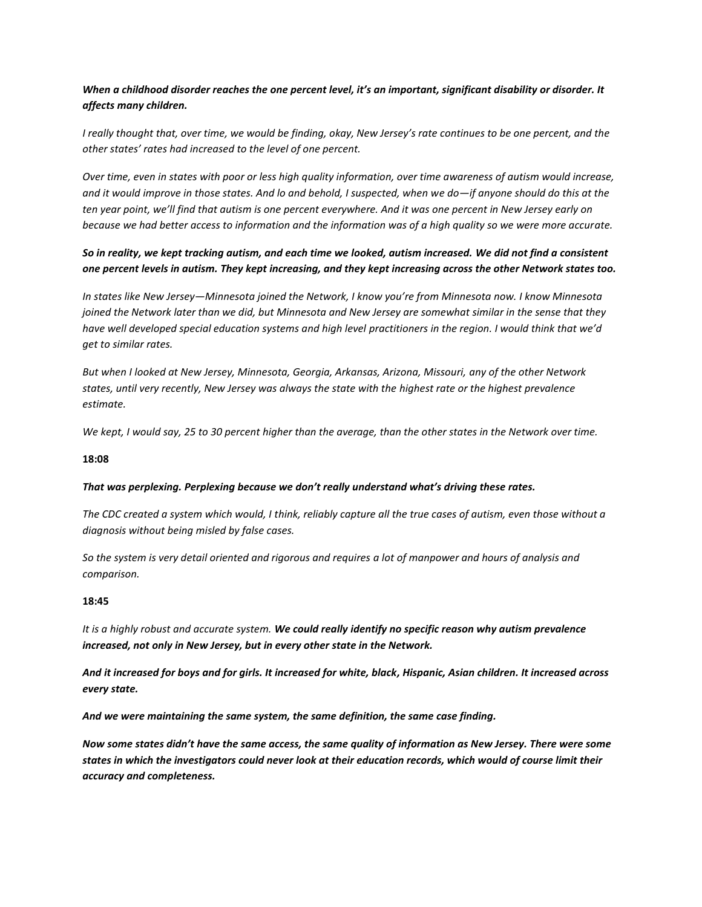# *When a childhood disorder reaches the one percent level, it's an important, significant disability or disorder. It affects many children.*

*I really thought that, over time, we would be finding, okay, New Jersey's rate continues to be one percent, and the other states' rates had increased to the level of one percent.* 

*Over time, even in states with poor or less high quality information, over time awareness of autism would increase, and it would improve in those states. And lo and behold, I suspected, when we do—if anyone should do this at the ten year point, we'll find that autism is one percent everywhere. And it was one percent in New Jersey early on because we had better access to information and the information was of a high quality so we were more accurate.* 

# *So in reality, we kept tracking autism, and each time we looked, autism increased. We did not find a consistent one percent levels in autism. They kept increasing, and they kept increasing across the other Network states too.*

*In states like New Jersey—Minnesota joined the Network, I know you're from Minnesota now. I know Minnesota joined the Network later than we did, but Minnesota and New Jersey are somewhat similar in the sense that they have well developed special education systems and high level practitioners in the region. I would think that we'd get to similar rates.* 

*But when I looked at New Jersey, Minnesota, Georgia, Arkansas, Arizona, Missouri, any of the other Network states, until very recently, New Jersey was always the state with the highest rate or the highest prevalence estimate.*

*We kept, I would say, 25 to 30 percent higher than the average, than the other states in the Network over time.* 

### **18:08**

#### *That was perplexing. Perplexing because we don't really understand what's driving these rates.*

*The CDC created a system which would, I think, reliably capture all the true cases of autism, even those without a diagnosis without being misled by false cases.*

*So the system is very detail oriented and rigorous and requires a lot of manpower and hours of analysis and comparison.* 

#### **18:45**

*It is a highly robust and accurate system. We could really identify no specific reason why autism prevalence increased, not only in New Jersey, but in every other state in the Network.* 

*And it increased for boys and for girls. It increased for white, black, Hispanic, Asian children. It increased across every state.*

*And we were maintaining the same system, the same definition, the same case finding.*

*Now some states didn't have the same access, the same quality of information as New Jersey. There were some states in which the investigators could never look at their education records, which would of course limit their accuracy and completeness.*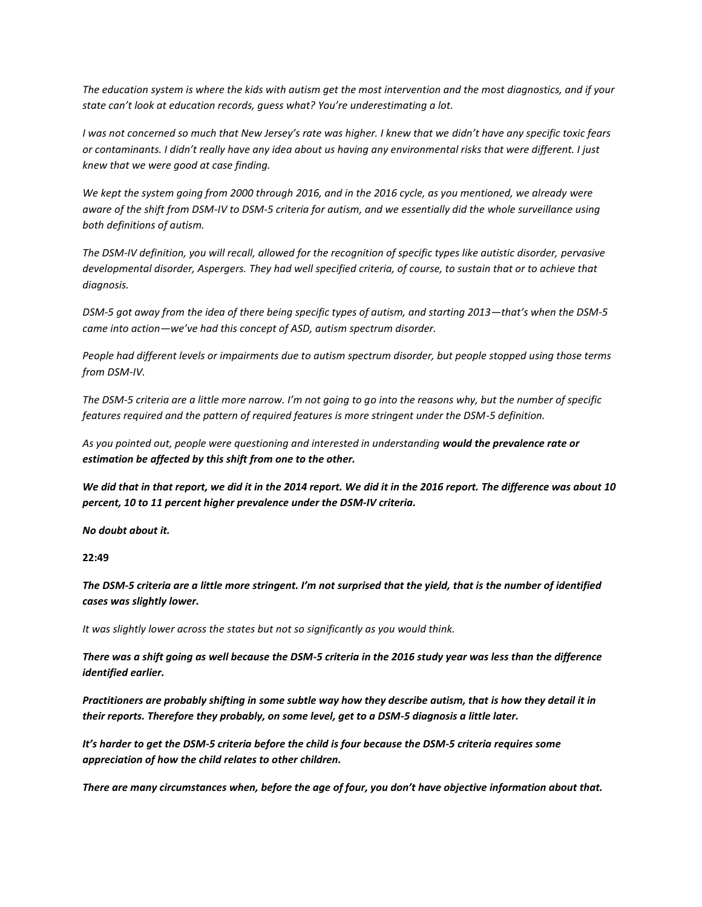*The education system is where the kids with autism get the most intervention and the most diagnostics, and if your state can't look at education records, guess what? You're underestimating a lot.* 

*I was not concerned so much that New Jersey's rate was higher. I knew that we didn't have any specific toxic fears or contaminants. I didn't really have any idea about us having any environmental risks that were different. I just knew that we were good at case finding.* 

*We kept the system going from 2000 through 2016, and in the 2016 cycle, as you mentioned, we already were aware of the shift from DSM-IV to DSM-5 criteria for autism, and we essentially did the whole surveillance using both definitions of autism.*

*The DSM-IV definition, you will recall, allowed for the recognition of specific types like autistic disorder, pervasive*  developmental disorder, Aspergers. They had well specified criteria, of course, to sustain that or to achieve that *diagnosis.* 

*DSM-5 got away from the idea of there being specific types of autism, and starting 2013—that's when the DSM-5 came into action—we've had this concept of ASD, autism spectrum disorder.*

*People had different levels or impairments due to autism spectrum disorder, but people stopped using those terms from DSM-IV.* 

*The DSM-5 criteria are a little more narrow. I'm not going to go into the reasons why, but the number of specific features required and the pattern of required features is more stringent under the DSM-5 definition.*

*As you pointed out, people were questioning and interested in understanding would the prevalence rate or estimation be affected by this shift from one to the other.* 

*We did that in that report, we did it in the 2014 report. We did it in the 2016 report. The difference was about 10 percent, 10 to 11 percent higher prevalence under the DSM-IV criteria.* 

*No doubt about it.* 

**22:49**

*The DSM-5 criteria are a little more stringent. I'm not surprised that the yield, that is the number of identified cases was slightly lower.* 

*It was slightly lower across the states but not so significantly as you would think.* 

*There was a shift going as well because the DSM-5 criteria in the 2016 study year was less than the difference identified earlier.* 

*Practitioners are probably shifting in some subtle way how they describe autism, that is how they detail it in their reports. Therefore they probably, on some level, get to a DSM-5 diagnosis a little later.* 

*It's harder to get the DSM-5 criteria before the child is four because the DSM-5 criteria requires some appreciation of how the child relates to other children.*

*There are many circumstances when, before the age of four, you don't have objective information about that.*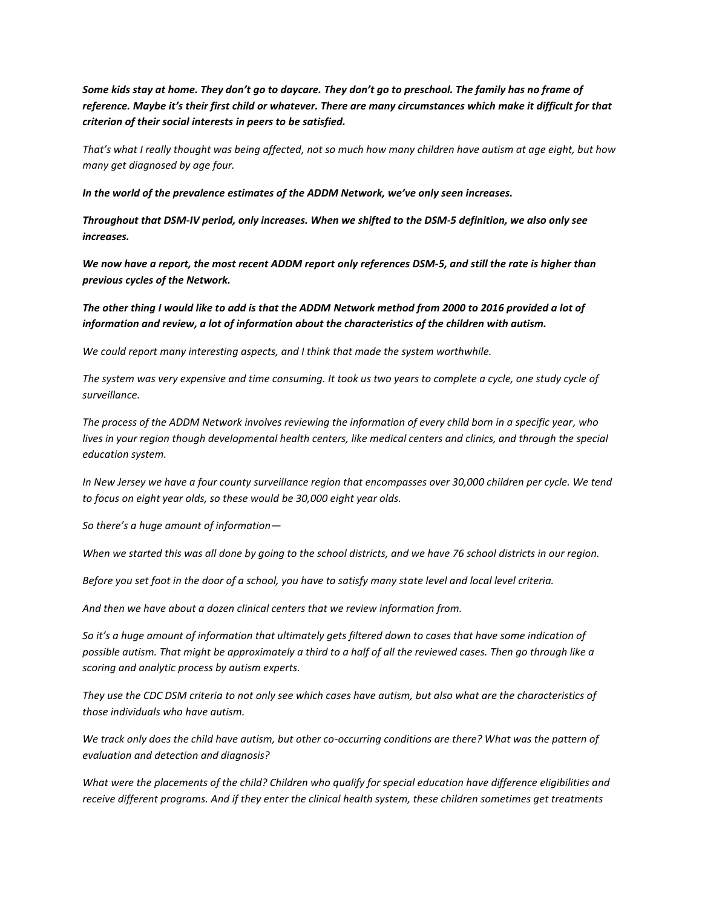*Some kids stay at home. They don't go to daycare. They don't go to preschool. The family has no frame of reference. Maybe it's their first child or whatever. There are many circumstances which make it difficult for that criterion of their social interests in peers to be satisfied.* 

*That's what I really thought was being affected, not so much how many children have autism at age eight, but how many get diagnosed by age four.* 

*In the world of the prevalence estimates of the ADDM Network, we've only seen increases.* 

*Throughout that DSM-IV period, only increases. When we shifted to the DSM-5 definition, we also only see increases.* 

*We now have a report, the most recent ADDM report only references DSM-5, and still the rate is higher than previous cycles of the Network.* 

*The other thing I would like to add is that the ADDM Network method from 2000 to 2016 provided a lot of information and review, a lot of information about the characteristics of the children with autism.*

*We could report many interesting aspects, and I think that made the system worthwhile.* 

*The system was very expensive and time consuming. It took us two years to complete a cycle, one study cycle of surveillance.* 

*The process of the ADDM Network involves reviewing the information of every child born in a specific year, who lives in your region though developmental health centers, like medical centers and clinics, and through the special education system.* 

*In New Jersey we have a four county surveillance region that encompasses over 30,000 children per cycle. We tend to focus on eight year olds, so these would be 30,000 eight year olds.* 

*So there's a huge amount of information—*

*When we started this was all done by going to the school districts, and we have 76 school districts in our region.*

*Before you set foot in the door of a school, you have to satisfy many state level and local level criteria.*

*And then we have about a dozen clinical centers that we review information from.* 

*So it's a huge amount of information that ultimately gets filtered down to cases that have some indication of possible autism. That might be approximately a third to a half of all the reviewed cases. Then go through like a scoring and analytic process by autism experts.* 

*They use the CDC DSM criteria to not only see which cases have autism, but also what are the characteristics of those individuals who have autism.* 

*We track only does the child have autism, but other co-occurring conditions are there? What was the pattern of evaluation and detection and diagnosis?*

*What were the placements of the child? Children who qualify for special education have difference eligibilities and*  receive different programs. And if they enter the clinical health system, these children sometimes get treatments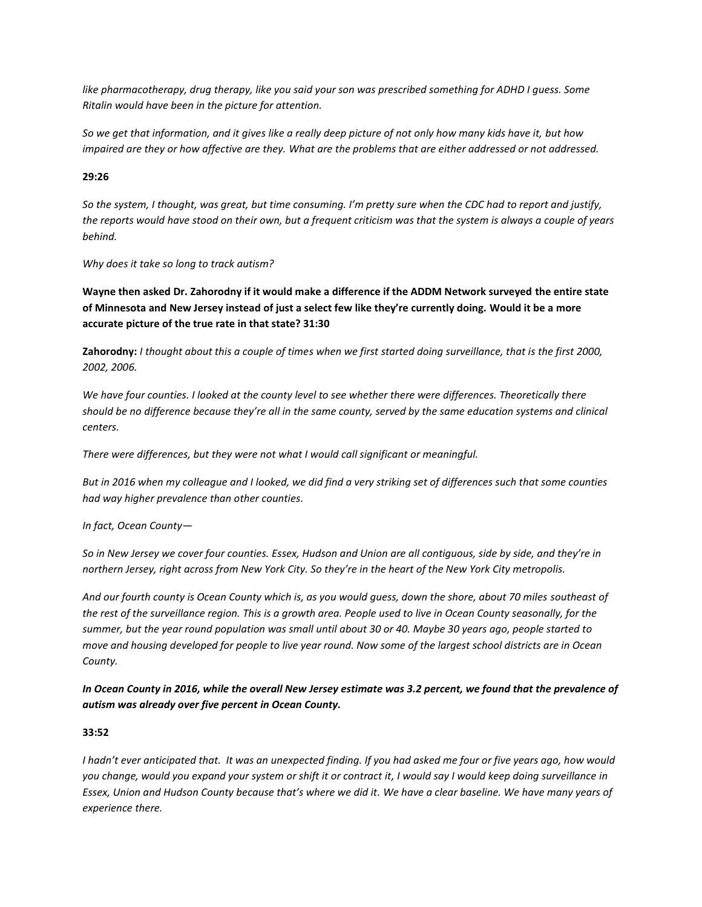*like pharmacotherapy, drug therapy, like you said your son was prescribed something for ADHD I guess. Some Ritalin would have been in the picture for attention.*

*So we get that information, and it gives like a really deep picture of not only how many kids have it, but how impaired are they or how affective are they. What are the problems that are either addressed or not addressed.* 

### **29:26**

*So the system, I thought, was great, but time consuming. I'm pretty sure when the CDC had to report and justify, the reports would have stood on their own, but a frequent criticism was that the system is always a couple of years behind.* 

*Why does it take so long to track autism?* 

**Wayne then asked Dr. Zahorodny if it would make a difference if the ADDM Network surveyed the entire state of Minnesota and New Jersey instead of just a select few like they're currently doing. Would it be a more accurate picture of the true rate in that state? 31:30**

**Zahorodny:** *I thought about this a couple of times when we first started doing surveillance, that is the first 2000, 2002, 2006.*

*We have four counties. I looked at the county level to see whether there were differences. Theoretically there should be no difference because they're all in the same county, served by the same education systems and clinical centers.*

*There were differences, but they were not what I would call significant or meaningful.* 

*But in 2016 when my colleague and I looked, we did find a very striking set of differences such that some counties had way higher prevalence than other counties.* 

*In fact, Ocean County—*

*So in New Jersey we cover four counties. Essex, Hudson and Union are all contiguous, side by side, and they're in northern Jersey, right across from New York City. So they're in the heart of the New York City metropolis.* 

*And our fourth county is Ocean County which is, as you would guess, down the shore, about 70 miles southeast of the rest of the surveillance region. This is a growth area. People used to live in Ocean County seasonally, for the summer, but the year round population was small until about 30 or 40. Maybe 30 years ago, people started to move and housing developed for people to live year round. Now some of the largest school districts are in Ocean County.* 

*In Ocean County in 2016, while the overall New Jersey estimate was 3.2 percent, we found that the prevalence of autism was already over five percent in Ocean County.* 

#### **33:52**

*I hadn't ever anticipated that. It was an unexpected finding. If you had asked me four or five years ago, how would you change, would you expand your system or shift it or contract it, I would say I would keep doing surveillance in Essex, Union and Hudson County because that's where we did it. We have a clear baseline. We have many years of experience there.*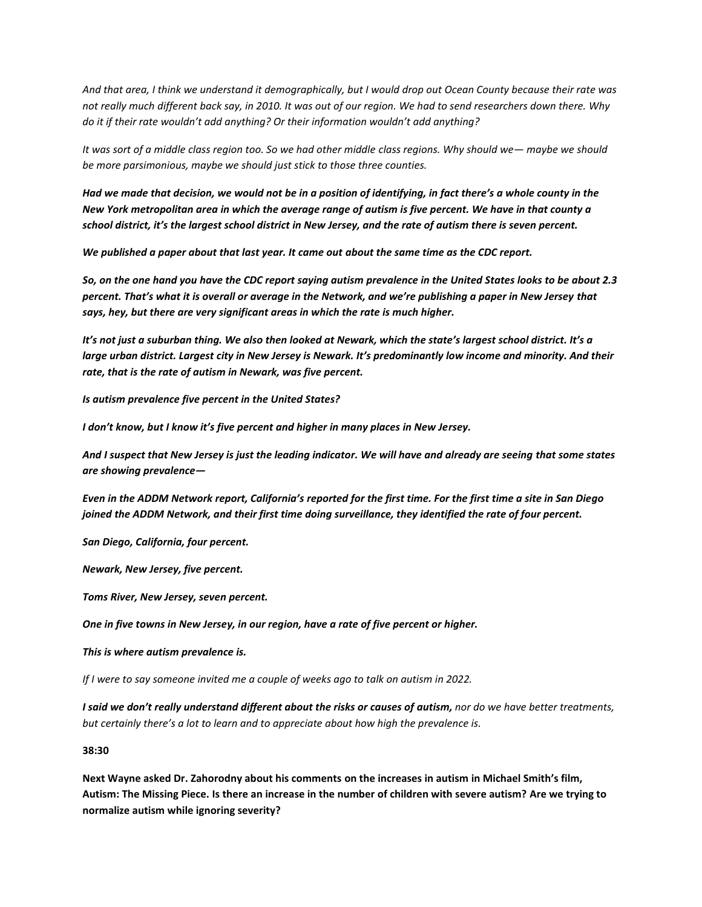*And that area, I think we understand it demographically, but I would drop out Ocean County because their rate was not really much different back say, in 2010. It was out of our region. We had to send researchers down there. Why do it if their rate wouldn't add anything? Or their information wouldn't add anything?*

*It was sort of a middle class region too. So we had other middle class regions. Why should we— maybe we should be more parsimonious, maybe we should just stick to those three counties.*

*Had we made that decision, we would not be in a position of identifying, in fact there's a whole county in the New York metropolitan area in which the average range of autism is five percent. We have in that county a school district, it's the largest school district in New Jersey, and the rate of autism there is seven percent.* 

*We published a paper about that last year. It came out about the same time as the CDC report.*

*So, on the one hand you have the CDC report saying autism prevalence in the United States looks to be about 2.3 percent. That's what it is overall or average in the Network, and we're publishing a paper in New Jersey that says, hey, but there are very significant areas in which the rate is much higher.* 

*It's not just a suburban thing. We also then looked at Newark, which the state's largest school district. It's a large urban district. Largest city in New Jersey is Newark. It's predominantly low income and minority. And their rate, that is the rate of autism in Newark, was five percent.* 

*Is autism prevalence five percent in the United States?*

*I don't know, but I know it's five percent and higher in many places in New Jersey.* 

*And I suspect that New Jersey is just the leading indicator. We will have and already are seeing that some states are showing prevalence—*

*Even in the ADDM Network report, California's reported for the first time. For the first time a site in San Diego joined the ADDM Network, and their first time doing surveillance, they identified the rate of four percent.* 

*San Diego, California, four percent.* 

*Newark, New Jersey, five percent.* 

*Toms River, New Jersey, seven percent.* 

*One in five towns in New Jersey, in our region, have a rate of five percent or higher.*

*This is where autism prevalence is.* 

*If I were to say someone invited me a couple of weeks ago to talk on autism in 2022.*

*I said we don't really understand different about the risks or causes of autism, nor do we have better treatments, but certainly there's a lot to learn and to appreciate about how high the prevalence is.* 

**38:30**

**Next Wayne asked Dr. Zahorodny about his comments on the increases in autism in Michael Smith's film, Autism: The Missing Piece. Is there an increase in the number of children with severe autism? Are we trying to normalize autism while ignoring severity?**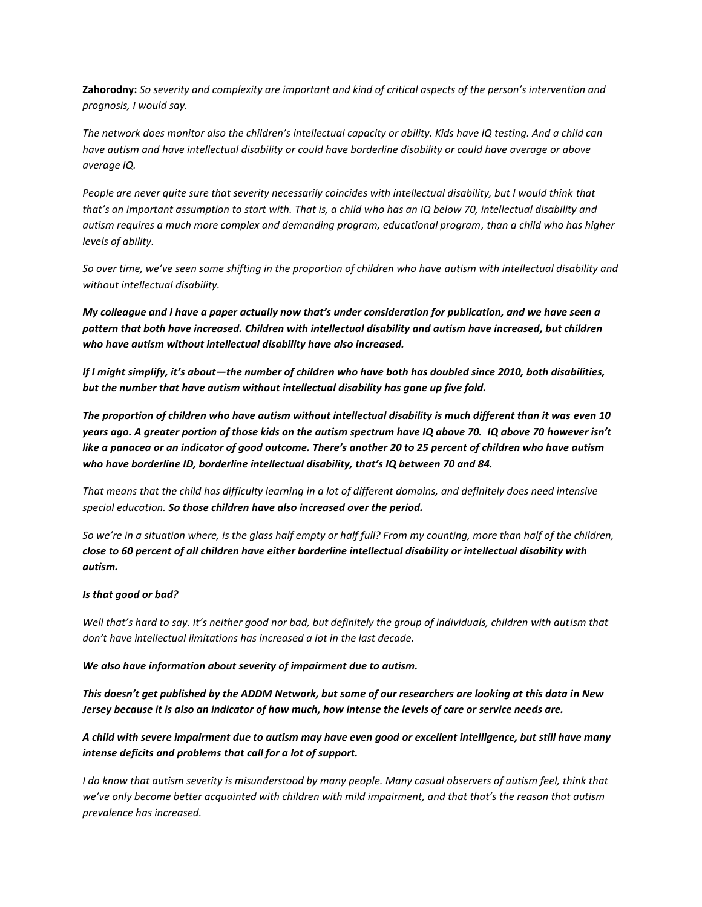**Zahorodny:** *So severity and complexity are important and kind of critical aspects of the person's intervention and prognosis, I would say.* 

*The network does monitor also the children's intellectual capacity or ability. Kids have IQ testing. And a child can have autism and have intellectual disability or could have borderline disability or could have average or above average IQ.* 

*People are never quite sure that severity necessarily coincides with intellectual disability, but I would think that that's an important assumption to start with. That is, a child who has an IQ below 70, intellectual disability and autism requires a much more complex and demanding program, educational program, than a child who has higher levels of ability.* 

*So over time, we've seen some shifting in the proportion of children who have autism with intellectual disability and without intellectual disability.* 

*My colleague and I have a paper actually now that's under consideration for publication, and we have seen a pattern that both have increased. Children with intellectual disability and autism have increased, but children who have autism without intellectual disability have also increased.* 

*If I might simplify, it's about—the number of children who have both has doubled since 2010, both disabilities, but the number that have autism without intellectual disability has gone up five fold.* 

*The proportion of children who have autism without intellectual disability is much different than it was even 10 years ago. A greater portion of those kids on the autism spectrum have IQ above 70. IQ above 70 however isn't like a panacea or an indicator of good outcome. There's another 20 to 25 percent of children who have autism who have borderline ID, borderline intellectual disability, that's IQ between 70 and 84.* 

*That means that the child has difficulty learning in a lot of different domains, and definitely does need intensive special education. So those children have also increased over the period.*

*So we're in a situation where, is the glass half empty or half full? From my counting, more than half of the children, close to 60 percent of all children have either borderline intellectual disability or intellectual disability with autism.* 

#### *Is that good or bad?*

*Well that's hard to say. It's neither good nor bad, but definitely the group of individuals, children with autism that don't have intellectual limitations has increased a lot in the last decade.*

*We also have information about severity of impairment due to autism.*

*This doesn't get published by the ADDM Network, but some of our researchers are looking at this data in New Jersey because it is also an indicator of how much, how intense the levels of care or service needs are.* 

*A child with severe impairment due to autism may have even good or excellent intelligence, but still have many intense deficits and problems that call for a lot of support.* 

*I do know that autism severity is misunderstood by many people. Many casual observers of autism feel, think that we've only become better acquainted with children with mild impairment, and that that's the reason that autism prevalence has increased.*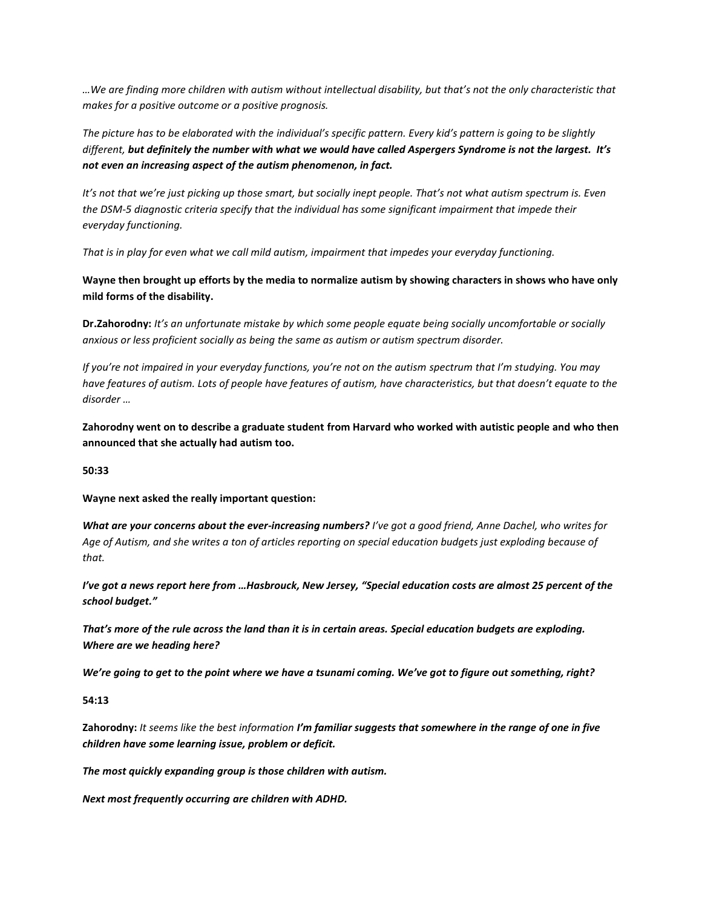*…We are finding more children with autism without intellectual disability, but that's not the only characteristic that makes for a positive outcome or a positive prognosis.* 

*The picture has to be elaborated with the individual's specific pattern. Every kid's pattern is going to be slightly different, but definitely the number with what we would have called Aspergers Syndrome is not the largest. It's not even an increasing aspect of the autism phenomenon, in fact.* 

*It*'s not that we're just picking up those smart, but socially inept people. That's not what autism spectrum is. Even *the DSM-5 diagnostic criteria specify that the individual has some significant impairment that impede their everyday functioning.* 

*That is in play for even what we call mild autism, impairment that impedes your everyday functioning.* 

**Wayne then brought up efforts by the media to normalize autism by showing characters in shows who have only mild forms of the disability.** 

**Dr.Zahorodny:** *It's an unfortunate mistake by which some people equate being socially uncomfortable or socially anxious or less proficient socially as being the same as autism or autism spectrum disorder.* 

*If you're not impaired in your everyday functions, you're not on the autism spectrum that I'm studying. You may have features of autism. Lots of people have features of autism, have characteristics, but that doesn't equate to the disorder …*

**Zahorodny went on to describe a graduate student from Harvard who worked with autistic people and who then announced that she actually had autism too.** 

**50:33**

**Wayne next asked the really important question:** 

*What are your concerns about the ever-increasing numbers? I've got a good friend, Anne Dachel, who writes for Age of Autism, and she writes a ton of articles reporting on special education budgets just exploding because of that.*

*I've got a news report here from …Hasbrouck, New Jersey, "Special education costs are almost 25 percent of the school budget."* 

*That's more of the rule across the land than it is in certain areas. Special education budgets are exploding. Where are we heading here?*

*We're going to get to the point where we have a tsunami coming. We've got to figure out something, right?* 

**54:13**

**Zahorodny:** *It seems like the best information I'm familiar suggests that somewhere in the range of one in five children have some learning issue, problem or deficit.*

*The most quickly expanding group is those children with autism.* 

*Next most frequently occurring are children with ADHD.*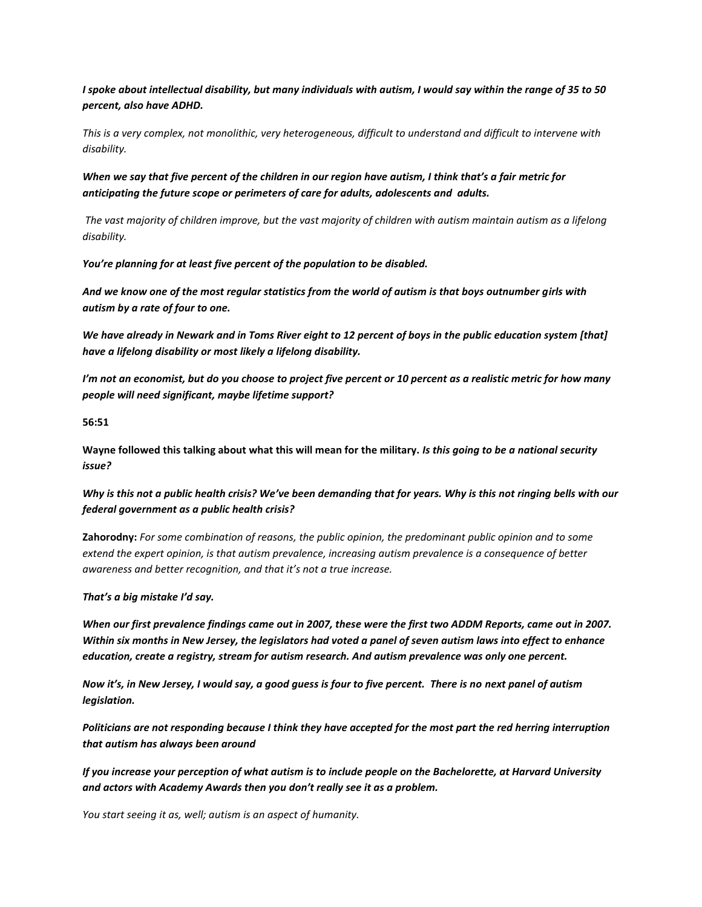*I spoke about intellectual disability, but many individuals with autism, I would say within the range of 35 to 50 percent, also have ADHD.* 

*This is a very complex, not monolithic, very heterogeneous, difficult to understand and difficult to intervene with disability.* 

*When we say that five percent of the children in our region have autism, I think that's a fair metric for anticipating the future scope or perimeters of care for adults, adolescents and adults.* 

*The vast majority of children improve, but the vast majority of children with autism maintain autism as a lifelong disability.* 

*You're planning for at least five percent of the population to be disabled.* 

*And we know one of the most regular statistics from the world of autism is that boys outnumber girls with autism by a rate of four to one.* 

*We have already in Newark and in Toms River eight to 12 percent of boys in the public education system [that] have a lifelong disability or most likely a lifelong disability.* 

*I'm not an economist, but do you choose to project five percent or 10 percent as a realistic metric for how many people will need significant, maybe lifetime support?* 

**56:51**

**Wayne followed this talking about what this will mean for the military.** *Is this going to be a national security issue?* 

*Why is this not a public health crisis? We've been demanding that for years. Why is this not ringing bells with our federal government as a public health crisis?* 

**Zahorodny:** *For some combination of reasons, the public opinion, the predominant public opinion and to some extend the expert opinion, is that autism prevalence, increasing autism prevalence is a consequence of better awareness and better recognition, and that it's not a true increase.* 

*That's a big mistake I'd say.* 

*When our first prevalence findings came out in 2007, these were the first two ADDM Reports, came out in 2007. Within six months in New Jersey, the legislators had voted a panel of seven autism laws into effect to enhance education, create a registry, stream for autism research. And autism prevalence was only one percent.* 

*Now it's, in New Jersey, I would say, a good guess is four to five percent. There is no next panel of autism legislation.* 

*Politicians are not responding because I think they have accepted for the most part the red herring interruption that autism has always been around* 

*If you increase your perception of what autism is to include people on the Bachelorette, at Harvard University and actors with Academy Awards then you don't really see it as a problem.* 

*You start seeing it as, well; autism is an aspect of humanity.*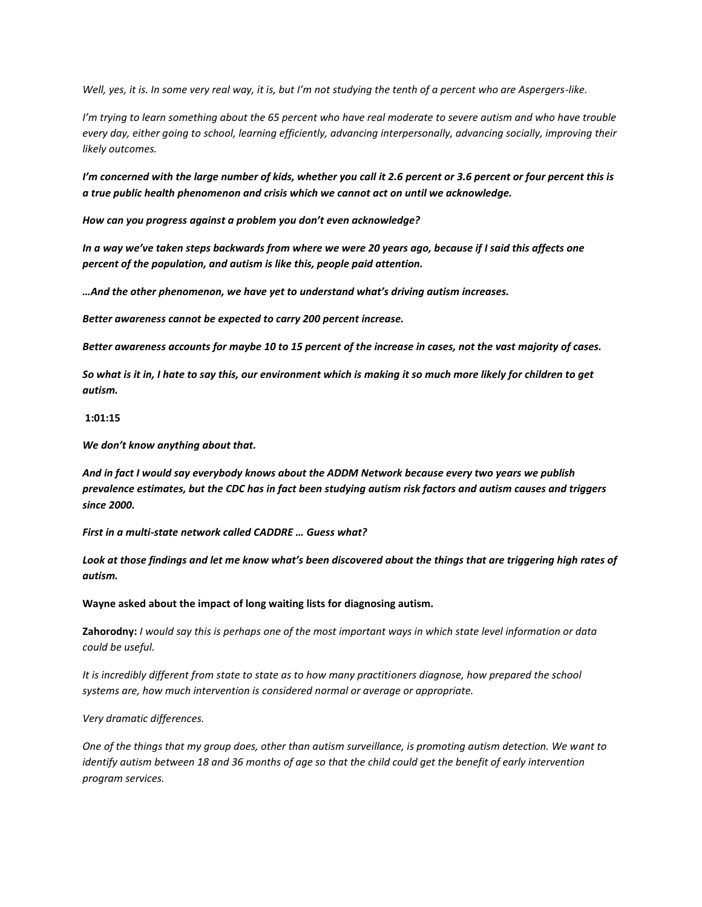*Well, yes, it is. In some very real way, it is, but I'm not studying the tenth of a percent who are Aspergers-like.* 

*I'm trying to learn something about the 65 percent who have real moderate to severe autism and who have trouble every day, either going to school, learning efficiently, advancing interpersonally, advancing socially, improving their likely outcomes.* 

*I'm concerned with the large number of kids, whether you call it 2.6 percent or 3.6 percent or four percent this is a true public health phenomenon and crisis which we cannot act on until we acknowledge.* 

*How can you progress against a problem you don't even acknowledge?* 

*In a way we've taken steps backwards from where we were 20 years ago, because if I said this affects one percent of the population, and autism is like this, people paid attention.*

*…And the other phenomenon, we have yet to understand what's driving autism increases.* 

*Better awareness cannot be expected to carry 200 percent increase.* 

*Better awareness accounts for maybe 10 to 15 percent of the increase in cases, not the vast majority of cases.* 

*So what is it in, I hate to say this, our environment which is making it so much more likely for children to get autism.* 

#### **1:01:15**

*We don't know anything about that.* 

*And in fact I would say everybody knows about the ADDM Network because every two years we publish prevalence estimates, but the CDC has in fact been studying autism risk factors and autism causes and triggers since 2000.* 

*First in a multi-state network called CADDRE … Guess what?* 

*Look at those findings and let me know what's been discovered about the things that are triggering high rates of autism.* 

**Wayne asked about the impact of long waiting lists for diagnosing autism.** 

**Zahorodny:** *I would say this is perhaps one of the most important ways in which state level information or data could be useful.* 

*It is incredibly different from state to state as to how many practitioners diagnose, how prepared the school systems are, how much intervention is considered normal or average or appropriate.*

*Very dramatic differences.* 

*One of the things that my group does, other than autism surveillance, is promoting autism detection. We want to identify autism between 18 and 36 months of age so that the child could get the benefit of early intervention program services.*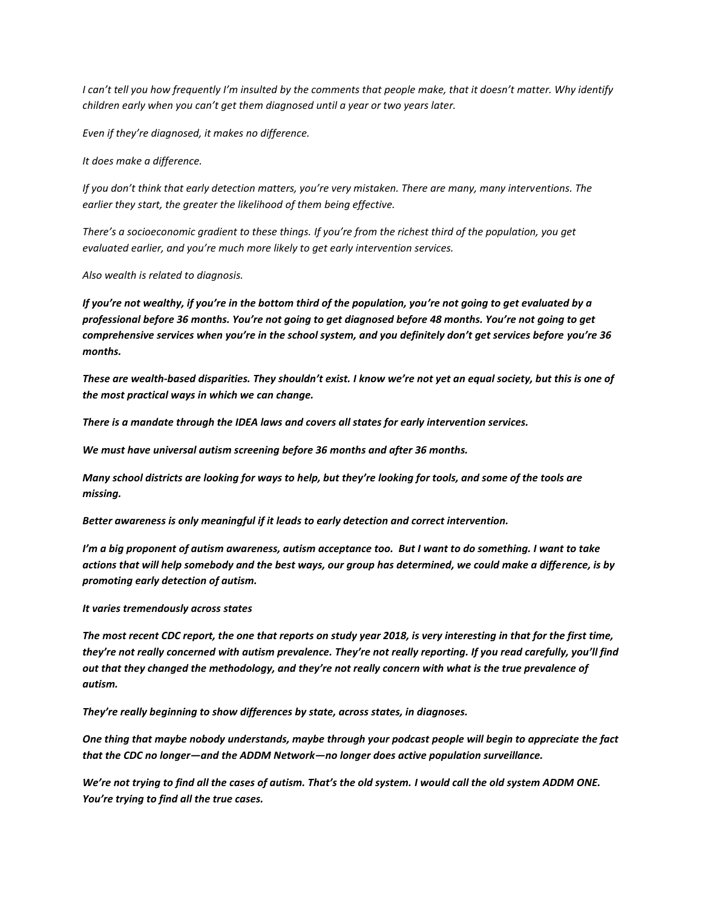*I can't tell you how frequently I'm insulted by the comments that people make, that it doesn't matter. Why identify children early when you can't get them diagnosed until a year or two years later.* 

*Even if they're diagnosed, it makes no difference.*

*It does make a difference.* 

*If you don't think that early detection matters, you're very mistaken. There are many, many interventions. The earlier they start, the greater the likelihood of them being effective.* 

*There's a socioeconomic gradient to these things. If you're from the richest third of the population, you get evaluated earlier, and you're much more likely to get early intervention services.* 

*Also wealth is related to diagnosis.*

*If you're not wealthy, if you're in the bottom third of the population, you're not going to get evaluated by a professional before 36 months. You're not going to get diagnosed before 48 months. You're not going to get comprehensive services when you're in the school system, and you definitely don't get services before you're 36 months.* 

*These are wealth-based disparities. They shouldn't exist. I know we're not yet an equal society, but this is one of the most practical ways in which we can change.* 

*There is a mandate through the IDEA laws and covers all states for early intervention services.* 

*We must have universal autism screening before 36 months and after 36 months.* 

*Many school districts are looking for ways to help, but they're looking for tools, and some of the tools are missing.* 

*Better awareness is only meaningful if it leads to early detection and correct intervention.* 

*I'm a big proponent of autism awareness, autism acceptance too. But I want to do something. I want to take actions that will help somebody and the best ways, our group has determined, we could make a difference, is by promoting early detection of autism.* 

#### *It varies tremendously across states*

*The most recent CDC report, the one that reports on study year 2018, is very interesting in that for the first time, they're not really concerned with autism prevalence. They're not really reporting. If you read carefully, you'll find out that they changed the methodology, and they're not really concern with what is the true prevalence of autism.*

*They're really beginning to show differences by state, across states, in diagnoses.* 

*One thing that maybe nobody understands, maybe through your podcast people will begin to appreciate the fact that the CDC no longer—and the ADDM Network—no longer does active population surveillance.* 

*We're not trying to find all the cases of autism. That's the old system. I would call the old system ADDM ONE. You're trying to find all the true cases.*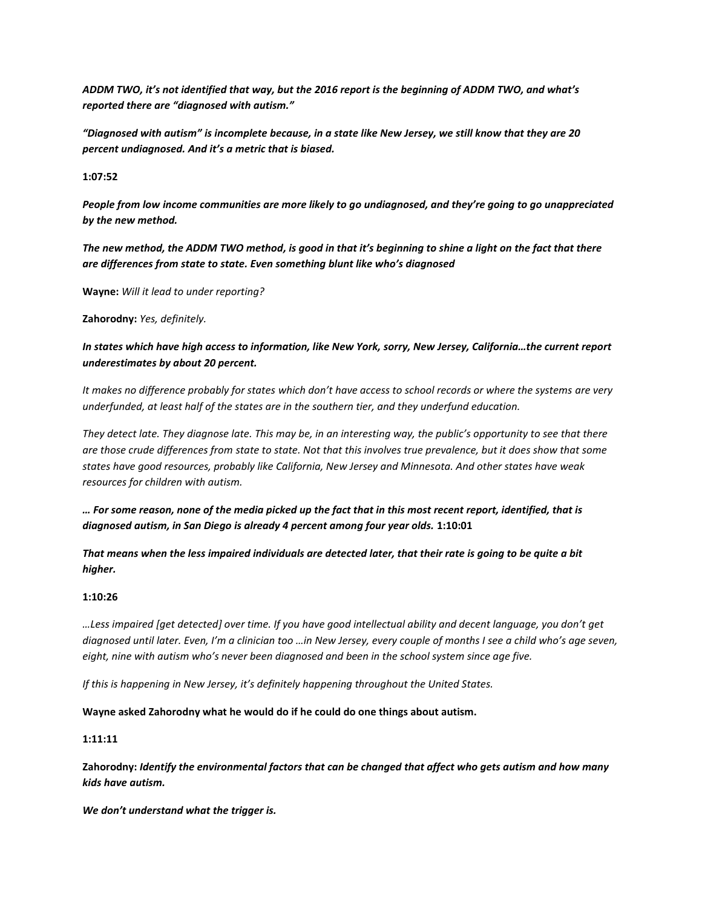*ADDM TWO, it's not identified that way, but the 2016 report is the beginning of ADDM TWO, and what's reported there are "diagnosed with autism."*

*"Diagnosed with autism" is incomplete because, in a state like New Jersey, we still know that they are 20 percent undiagnosed. And it's a metric that is biased.* 

**1:07:52**

*People from low income communities are more likely to go undiagnosed, and they're going to go unappreciated by the new method.* 

*The new method, the ADDM TWO method, is good in that it's beginning to shine a light on the fact that there are differences from state to state. Even something blunt like who's diagnosed*

**Wayne:** *Will it lead to under reporting?* 

**Zahorodny:** *Yes, definitely.* 

# *In states which have high access to information, like New York, sorry, New Jersey, California…the current report underestimates by about 20 percent.*

*It makes no difference probably for states which don't have access to school records or where the systems are very underfunded, at least half of the states are in the southern tier, and they underfund education.* 

*They detect late. They diagnose late. This may be, in an interesting way, the public's opportunity to see that there are those crude differences from state to state. Not that this involves true prevalence, but it does show that some states have good resources, probably like California, New Jersey and Minnesota. And other states have weak resources for children with autism.* 

*… For some reason, none of the media picked up the fact that in this most recent report, identified, that is diagnosed autism, in San Diego is already 4 percent among four year olds.* **1:10:01**

*That means when the less impaired individuals are detected later, that their rate is going to be quite a bit higher.* 

#### **1:10:26**

*…Less impaired [get detected] over time. If you have good intellectual ability and decent language, you don't get diagnosed until later. Even, I'm a clinician too …in New Jersey, every couple of months I see a child who's age seven, eight, nine with autism who's never been diagnosed and been in the school system since age five.* 

*If this is happening in New Jersey, it's definitely happening throughout the United States.* 

**Wayne asked Zahorodny what he would do if he could do one things about autism.** 

#### **1:11:11**

**Zahorodny:** *Identify the environmental factors that can be changed that affect who gets autism and how many kids have autism.* 

*We don't understand what the trigger is.*